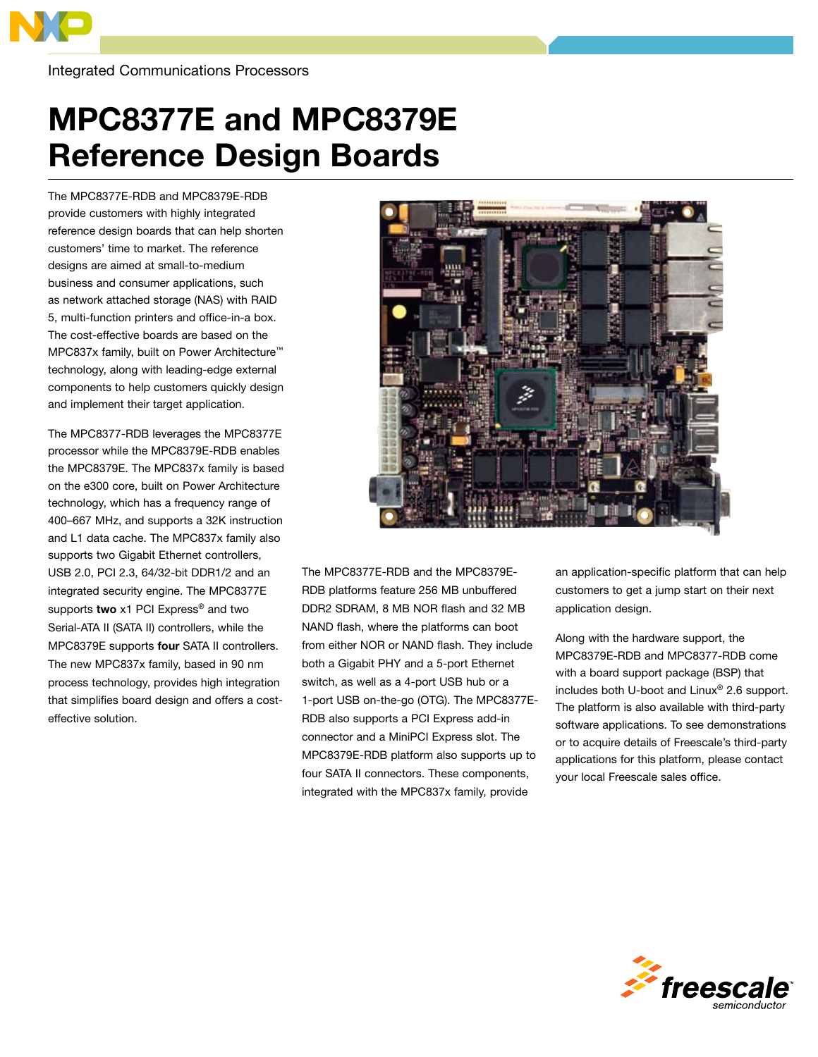

Integrated Communications Processors

## MPC8377E and MPC8379E Reference Design Boards

The MPC8377E-RDB and MPC8379E-RDB provide customers with highly integrated reference design boards that can help shorten customers' time to market. The reference designs are aimed at small-to-medium business and consumer applications, such as network attached storage (NAS) with RAID 5, multi-function printers and office-in-a box. The cost-effective boards are based on the MPC837x family, built on Power Architecture™ technology, along with leading-edge external components to help customers quickly design and implement their target application.

The MPC8377-RDB leverages the MPC8377E processor while the MPC8379E-RDB enables the MPC8379E. The MPC837x family is based on the e300 core, built on Power Architecture technology, which has a frequency range of 400–667 MHz, and supports a 32K instruction and L1 data cache. The MPC837x family also supports two Gigabit Ethernet controllers, USB 2.0, PCI 2.3, 64/32-bit DDR1/2 and an integrated security engine. The MPC8377E supports two x1 PCI Express<sup>®</sup> and two Serial-ATA II (SATA II) controllers, while the MPC8379E supports four SATA II controllers. The new MPC837x family, based in 90 nm process technology, provides high integration that simplifies board design and offers a costeffective solution.



The MPC8377E-RDB and the MPC8379E-RDB platforms feature 256 MB unbuffered DDR2 SDRAM, 8 MB NOR flash and 32 MB NAND flash, where the platforms can boot from either NOR or NAND flash. They include both a Gigabit PHY and a 5-port Ethernet switch, as well as a 4-port USB hub or a 1-port USB on-the-go (OTG). The MPC8377E-RDB also supports a PCI Express add-in connector and a MiniPCI Express slot. The MPC8379E-RDB platform also supports up to four SATA II connectors. These components, integrated with the MPC837x family, provide

an application-specific platform that can help customers to get a jump start on their next application design.

Along with the hardware support, the MPC8379E-RDB and MPC8377-RDB come with a board support package (BSP) that includes both U-boot and Linux® 2.6 support. The platform is also available with third-party software applications. To see demonstrations or to acquire details of Freescale's third-party applications for this platform, please contact your local Freescale sales office.